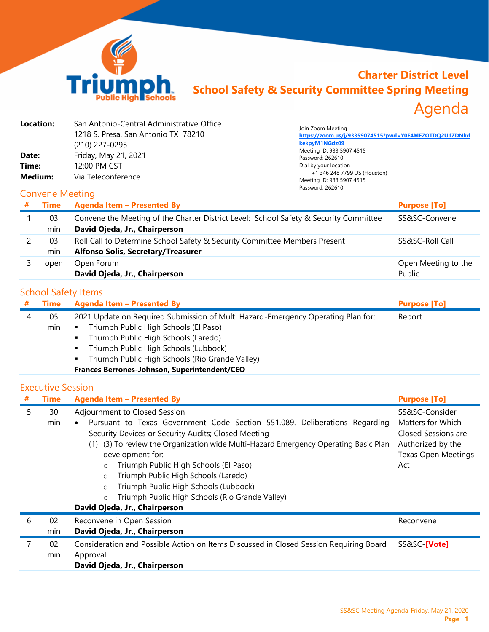

## **Charter District Level School Safety & Security Committee Spring Meeting** Agenda

| Location:<br>Date:<br>Time:<br>Medium: | San Antonio-Central Administrative Office<br>1218 S. Presa, San Antonio TX 78210<br>(210) 227-0295<br>Friday, May 21, 2021<br>12:00 PM CST<br>Via Teleconference | Join Zoom Meeting<br>https://zoom.us/j/93359074515?pwd=Y0F4MFZOTDQ2U1ZDNkd<br>kekpyM1NGdz09<br>Meeting ID: 933 5907 4515<br>Password: 262610<br>Dial by your location<br>+1 346 248 7799 US (Houston)<br>Meeting ID: 933 5907 4515<br>Password: 262610 |
|----------------------------------------|------------------------------------------------------------------------------------------------------------------------------------------------------------------|--------------------------------------------------------------------------------------------------------------------------------------------------------------------------------------------------------------------------------------------------------|
| <b>Convene Meeting</b>                 |                                                                                                                                                                  |                                                                                                                                                                                                                                                        |
| Time<br>#                              | <b>Agenda Item - Presented By</b>                                                                                                                                | <b>Purpose [To]</b>                                                                                                                                                                                                                                    |

| Time | <b>Agenda Item - Presented By</b>                                                     | <b>Purpose [To]</b>           |
|------|---------------------------------------------------------------------------------------|-------------------------------|
| 03   | Convene the Meeting of the Charter District Level: School Safety & Security Committee | SS&SC-Convene                 |
| min  | David Ojeda, Jr., Chairperson                                                         |                               |
| 03   | Roll Call to Determine School Safety & Security Committee Members Present             | SS&SC-Roll Call               |
| min  | <b>Alfonso Solis, Secretary/Treasurer</b>                                             |                               |
| open | Open Forum<br>David Ojeda, Jr., Chairperson                                           | Open Meeting to the<br>Public |

## School Safety Items

| Time | <b>Agenda Item - Presented By</b>                                                | <b>Purpose [To]</b> |
|------|----------------------------------------------------------------------------------|---------------------|
| 05   | 2021 Update on Required Submission of Multi Hazard-Emergency Operating Plan for: | Report              |
| min  | Triumph Public High Schools (El Paso)                                            |                     |
|      | Triumph Public High Schools (Laredo)                                             |                     |
|      | Triumph Public High Schools (Lubbock)                                            |                     |
|      |                                                                                  |                     |

- **Triumph Public High Schools (Rio Grande Valley)**
- **Frances Berrones-Johnson, Superintendent/CEO**

## Executive Session

| # | <b>Time</b> | <b>Agenda Item - Presented By</b>                                                                                                                                                                                                                                                                                                                                                                                                                                                                                                       | <b>Purpose [To]</b>                                                                                                  |
|---|-------------|-----------------------------------------------------------------------------------------------------------------------------------------------------------------------------------------------------------------------------------------------------------------------------------------------------------------------------------------------------------------------------------------------------------------------------------------------------------------------------------------------------------------------------------------|----------------------------------------------------------------------------------------------------------------------|
| 5 | 30<br>min   | Adjournment to Closed Session<br>Pursuant to Texas Government Code Section 551.089. Deliberations Regarding<br>Security Devices or Security Audits; Closed Meeting<br>(1) (3) To review the Organization wide Multi-Hazard Emergency Operating Basic Plan<br>development for:<br>Triumph Public High Schools (El Paso)<br>$\circ$<br>Triumph Public High Schools (Laredo)<br>$\circ$<br>Triumph Public High Schools (Lubbock)<br>$\circ$<br>Triumph Public High Schools (Rio Grande Valley)<br>$\circ$<br>David Ojeda, Jr., Chairperson | SS&SC-Consider<br>Matters for Which<br>Closed Sessions are<br>Authorized by the<br><b>Texas Open Meetings</b><br>Act |
| 6 | 02          | Reconvene in Open Session                                                                                                                                                                                                                                                                                                                                                                                                                                                                                                               | Reconvene                                                                                                            |
|   | min         | David Ojeda, Jr., Chairperson                                                                                                                                                                                                                                                                                                                                                                                                                                                                                                           |                                                                                                                      |
| 7 | 02<br>min   | Consideration and Possible Action on Items Discussed in Closed Session Requiring Board<br>Approval<br>David Ojeda, Jr., Chairperson                                                                                                                                                                                                                                                                                                                                                                                                     | SS&SC-[Vote]                                                                                                         |